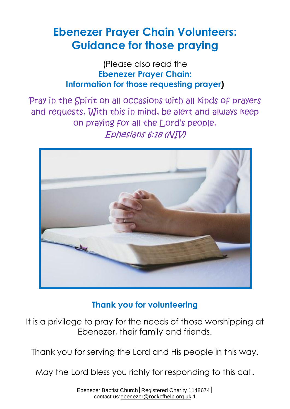# **Ebenezer Prayer Chain Volunteers: Guidance for those praying**

(Please also read the **Ebenezer Prayer Chain: Information for those requesting prayer)**

Pray in the Spirit on all occasions with all kinds of prayers and requests. With this in mind, be alert and always keep on praying for all the Lord's people. Ephesians 6:18 (NIV)



## **Thank you for volunteering**

It is a privilege to pray for the needs of those worshipping at Ebenezer, their family and friends.

Thank you for serving the Lord and His people in this way.

May the Lord bless you richly for responding to this call.

Ebenezer Baptist Church Registered Charity 1148674 contact us:ebenezer@rockofhelp.org.uk 1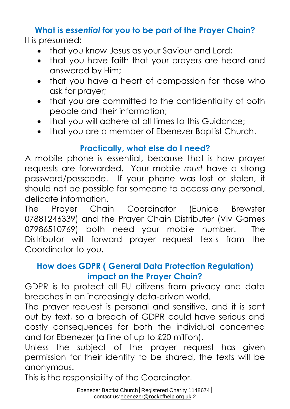## **What is** *essential* **for you to be part of the Prayer Chain?**

It is presumed:

- that you know Jesus as your Saviour and Lord;
- that you have faith that your prayers are heard and answered by Him;
- that you have a heart of compassion for those who ask for prayer;
- that you are committed to the confidentiality of both people and their information;
- that you will adhere at all times to this Guidance;
- that you are a member of Ebenezer Baptist Church.

## **Practically, what else do I need?**

A mobile phone is essential, because that is how prayer requests are forwarded. Your mobile *must* have a strong password/passcode. If your phone was lost or stolen, it should not be possible for someone to access any personal, delicate information.

The Prayer Chain Coordinator (Eunice Brewster 07881246339) and the Prayer Chain Distributer (Viv Games 07986510769) both need your mobile number. The Distributor will forward prayer request texts from the Coordinator to you.

## **How does GDPR ( General Data Protection Regulation) impact on the Prayer Chain?**

GDPR is to protect all EU citizens from privacy and data breaches in an increasingly data-driven world.

The prayer request is personal and sensitive, and it is sent out by text, so a breach of GDPR could have serious and costly consequences for both the individual concerned and for Ebenezer (a fine of up to £20 million).

Unless the subject of the prayer request has given permission for their identity to be shared, the texts will be anonymous.

This is the responsibility of the Coordinator.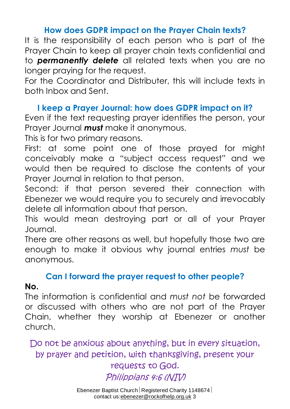#### **How does GDPR impact on the Prayer Chain texts?**

It is the responsibility of each person who is part of the Prayer Chain to keep all prayer chain texts confidential and to *permanently delete* all related texts when you are no longer praying for the request.

For the Coordinator and Distributer, this will include texts in both Inbox and Sent.

### **I keep a Prayer Journal: how does GDPR impact on it?**

Even if the text requesting prayer identifies the person, your Prayer Journal *must* make it anonymous.

This is for two primary reasons.

First: at some point one of those prayed for might conceivably make a "subject access request" and we would then be required to disclose the contents of your Prayer Journal in relation to that person.

Second: if that person severed their connection with Ebenezer we would require you to securely and irrevocably delete all information about that person.

This would mean destroying part or all of your Prayer Journal.

There are other reasons as well, but hopefully those two are enough to make it obvious why journal entries *must* be anonymous.

### **Can I forward the prayer request to other people?**

#### **No.**

The information is confidential and *must not* be forwarded or discussed with others who are not part of the Prayer Chain, whether they worship at Ebenezer or another church.

Do not be anxious about anything, but in every situation, by prayer and petition, with thanksgiving, present your

#### requests to God. Philippians 4:6 (NIV)